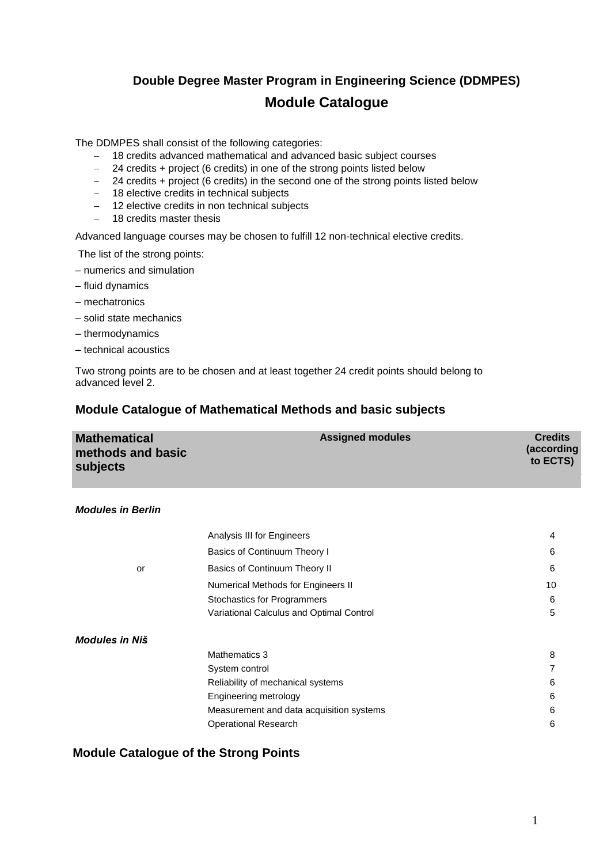# **Double Degree Master Program in Engineering Science (DDMPES) Module Catalogue**

The DDMPES shall consist of the following categories:

- 18 credits advanced mathematical and advanced basic subject courses
- 24 credits + project (6 credits) in one of the strong points listed below
- 24 credits + project (6 credits) in the second one of the strong points listed below
- 18 elective credits in technical subjects
- 12 elective credits in non technical subjects
- $-$  18 credits master thesis

Advanced language courses may be chosen to fulfill 12 non-technical elective credits.

The list of the strong points:

- numerics and simulation
- fluid dynamics
- mechatronics
- solid state mechanics
- thermodynamics
- technical acoustics

Two strong points are to be chosen and at least together 24 credit points should belong to advanced level 2.

## **Module Catalogue of Mathematical Methods and basic subjects**

| <b>Mathematical</b> | <b>Assigned modules</b> | <b>Credits</b>         |
|---------------------|-------------------------|------------------------|
| methods and basic   |                         | (according<br>to ECTS) |
| subjects            |                         |                        |

#### *Modules in Berlin*

|                | Analysis III for Engineers               | $\overline{4}$ |
|----------------|------------------------------------------|----------------|
|                | Basics of Continuum Theory I             | 6              |
| or             | Basics of Continuum Theory II            | 6              |
|                | Numerical Methods for Engineers II       | 10             |
|                | Stochastics for Programmers              | 6              |
|                | Variational Calculus and Optimal Control | 5              |
| Modules in Niš |                                          |                |
|                | Mathematics 3                            | 8              |
|                | System control                           | 7              |
|                | Reliability of mechanical systems        | 6              |
|                | Engineering metrology                    | 6              |
|                | Measurement and data acquisition systems | 6              |
|                | <b>Operational Research</b>              | 6              |

### **Module Catalogue of the Strong Points**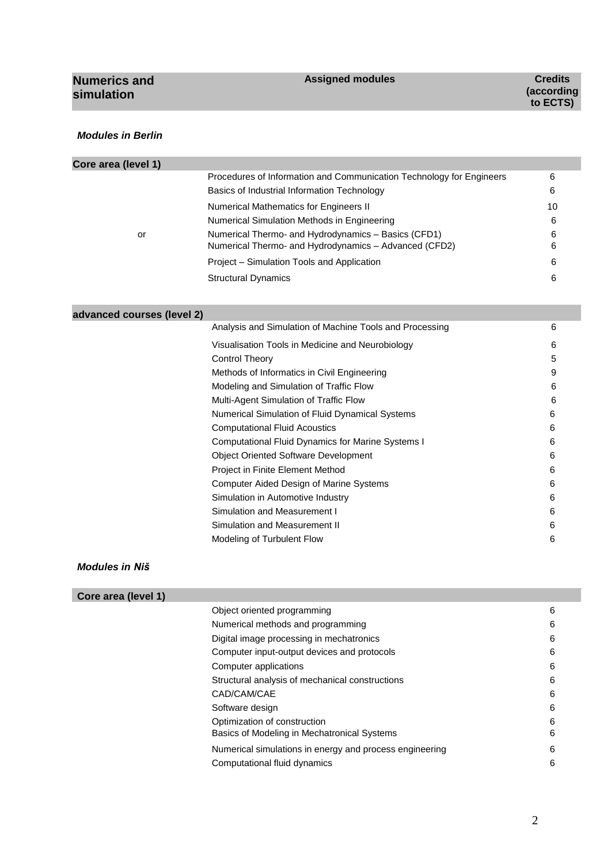| <b>Numerics and</b><br>simulation | <b>Assigned modules</b> | <b>Credits</b><br>(according<br>to ECTS) |
|-----------------------------------|-------------------------|------------------------------------------|
|                                   |                         |                                          |

#### *Modules in Berlin*

×

| Core area (level 1) |                                                                      |    |
|---------------------|----------------------------------------------------------------------|----|
|                     | Procedures of Information and Communication Technology for Engineers | 6  |
|                     | Basics of Industrial Information Technology                          | 6  |
|                     | Numerical Mathematics for Engineers II                               | 10 |
|                     | Numerical Simulation Methods in Engineering                          | 6  |
| or                  | Numerical Thermo- and Hydrodynamics - Basics (CFD1)                  | 6  |
|                     | Numerical Thermo- and Hydrodynamics - Advanced (CFD2)                | 6  |
|                     | Project – Simulation Tools and Application                           | 6  |
|                     | <b>Structural Dynamics</b>                                           | 6  |
|                     |                                                                      |    |

## **advanced courses (level 2)**

| Analysis and Simulation of Machine Tools and Processing | 6 |
|---------------------------------------------------------|---|
| Visualisation Tools in Medicine and Neurobiology        | 6 |
| Control Theory                                          | 5 |
| Methods of Informatics in Civil Engineering             | 9 |
| Modeling and Simulation of Traffic Flow                 | 6 |
| Multi-Agent Simulation of Traffic Flow                  | 6 |
| Numerical Simulation of Fluid Dynamical Systems         | 6 |
| <b>Computational Fluid Acoustics</b>                    | 6 |
| Computational Fluid Dynamics for Marine Systems I       | 6 |
| <b>Object Oriented Software Development</b>             | 6 |
| Project in Finite Element Method                        | 6 |
| Computer Aided Design of Marine Systems                 | 6 |
| Simulation in Automotive Industry                       | 6 |
| Simulation and Measurement I                            | 6 |
| Simulation and Measurement II                           | 6 |
| Modeling of Turbulent Flow                              | 6 |
|                                                         |   |

#### *Modules in Niš*

## **Core area (level 1)**

| Object oriented programming                             | 6 |
|---------------------------------------------------------|---|
| Numerical methods and programming                       | 6 |
| Digital image processing in mechatronics                | 6 |
| Computer input-output devices and protocols             | 6 |
| Computer applications                                   | 6 |
| Structural analysis of mechanical constructions         | 6 |
| CAD/CAM/CAE                                             | 6 |
| Software design                                         | 6 |
| Optimization of construction                            | 6 |
| Basics of Modeling in Mechatronical Systems             | 6 |
| Numerical simulations in energy and process engineering | 6 |
| Computational fluid dynamics                            | 6 |
|                                                         |   |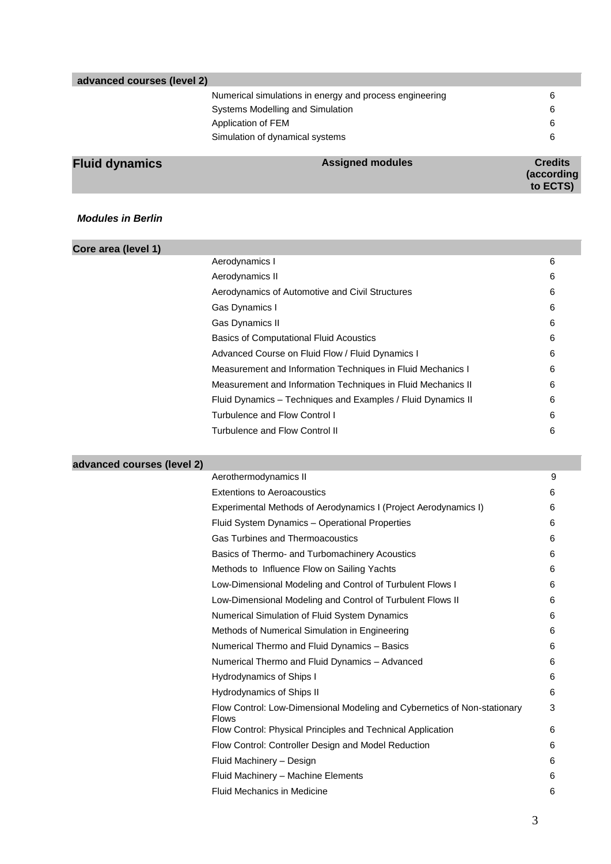| <b>Fluid dynamics</b>      | <b>Assigned modules</b>                                 | <b>Credits</b><br>(according |
|----------------------------|---------------------------------------------------------|------------------------------|
|                            | Simulation of dynamical systems                         | 6                            |
|                            | Application of FEM                                      | 6                            |
|                            | Systems Modelling and Simulation                        | 6                            |
|                            | Numerical simulations in energy and process engineering | 6                            |
| advanced courses (level 2) |                                                         |                              |

#### *Modules in Berlin*

| Core area (level 1) |                                                              |   |
|---------------------|--------------------------------------------------------------|---|
|                     | Aerodynamics I                                               | 6 |
|                     | Aerodynamics II                                              | 6 |
|                     | Aerodynamics of Automotive and Civil Structures              | 6 |
|                     | Gas Dynamics I                                               | 6 |
|                     | Gas Dynamics II                                              | 6 |
|                     | <b>Basics of Computational Fluid Acoustics</b>               | 6 |
|                     | Advanced Course on Fluid Flow / Fluid Dynamics I             | 6 |
|                     | Measurement and Information Techniques in Fluid Mechanics I  | 6 |
|                     | Measurement and Information Techniques in Fluid Mechanics II | 6 |
|                     | Fluid Dynamics - Techniques and Examples / Fluid Dynamics II | 6 |
|                     | Turbulence and Flow Control I                                | 6 |
|                     | Turbulence and Flow Control II                               | 6 |
|                     |                                                              |   |

# **advanced courses (level 2)**

| Aerothermodynamics II                                                                    | 9 |
|------------------------------------------------------------------------------------------|---|
| <b>Extentions to Aeroacoustics</b>                                                       | 6 |
| Experimental Methods of Aerodynamics I (Project Aerodynamics I)                          | 6 |
| Fluid System Dynamics - Operational Properties                                           | 6 |
| <b>Gas Turbines and Thermoacoustics</b>                                                  | 6 |
| Basics of Thermo- and Turbomachinery Acoustics                                           | 6 |
| Methods to Influence Flow on Sailing Yachts                                              | 6 |
| Low-Dimensional Modeling and Control of Turbulent Flows I                                | 6 |
| Low-Dimensional Modeling and Control of Turbulent Flows II                               | 6 |
| Numerical Simulation of Fluid System Dynamics                                            | 6 |
| Methods of Numerical Simulation in Engineering                                           | 6 |
| Numerical Thermo and Fluid Dynamics - Basics                                             | 6 |
| Numerical Thermo and Fluid Dynamics - Advanced                                           | 6 |
| Hydrodynamics of Ships I                                                                 | 6 |
| Hydrodynamics of Ships II                                                                | 6 |
| Flow Control: Low-Dimensional Modeling and Cybernetics of Non-stationary<br><b>Flows</b> | 3 |
| Flow Control: Physical Principles and Technical Application                              | 6 |
| Flow Control: Controller Design and Model Reduction                                      | 6 |
| Fluid Machinery - Design                                                                 | 6 |
| Fluid Machinery - Machine Elements                                                       | 6 |
| <b>Fluid Mechanics in Medicine</b>                                                       | 6 |
|                                                                                          |   |

**to ECTS)**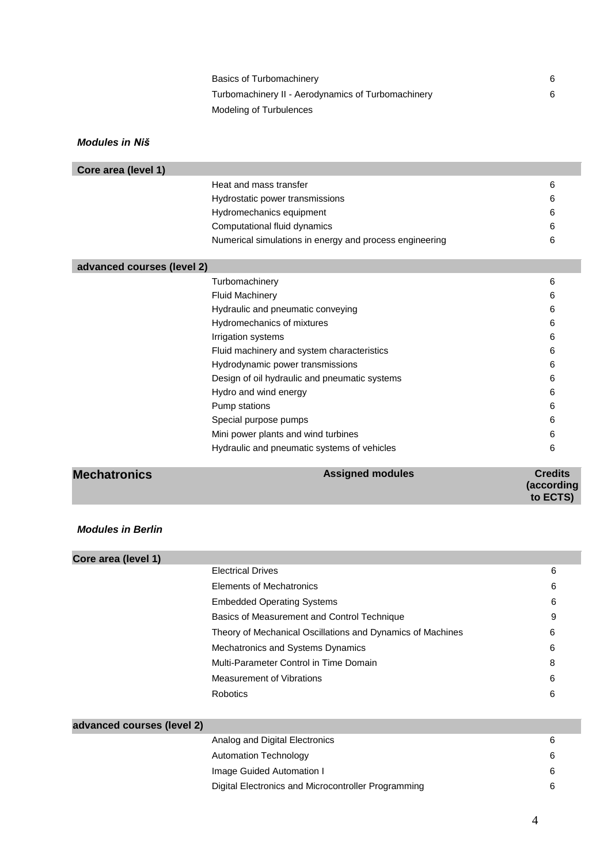| Basics of Turbomachinery                           | 6 |
|----------------------------------------------------|---|
| Turbomachinery II - Aerodynamics of Turbomachinery | 6 |
| Modeling of Turbulences                            |   |

| Core area (level 1) |                                                         |   |
|---------------------|---------------------------------------------------------|---|
|                     | Heat and mass transfer                                  | 6 |
|                     | Hydrostatic power transmissions                         | 6 |
|                     | Hydromechanics equipment                                | 6 |
|                     | Computational fluid dynamics                            | 6 |
|                     | Numerical simulations in energy and process engineering | 6 |
|                     |                                                         |   |

| advanced courses (level 2)                  |                                               |   |
|---------------------------------------------|-----------------------------------------------|---|
|                                             | Turbomachinery                                | 6 |
|                                             | <b>Fluid Machinery</b>                        | 6 |
|                                             | Hydraulic and pneumatic conveying             | 6 |
|                                             | Hydromechanics of mixtures                    | 6 |
|                                             | Irrigation systems                            | 6 |
|                                             | Fluid machinery and system characteristics    | 6 |
|                                             | Hydrodynamic power transmissions              | 6 |
|                                             | Design of oil hydraulic and pneumatic systems | 6 |
|                                             | Hydro and wind energy                         | 6 |
|                                             | Pump stations                                 | 6 |
|                                             | Special purpose pumps                         | 6 |
|                                             | Mini power plants and wind turbines           | 6 |
|                                             | Hydraulic and pneumatic systems of vehicles   | 6 |
| the company's company's company's company's | . .<br>. .                                    |   |

#### **Mechatronics**

| <b>Assigned modules</b> | <b>Credits</b> |
|-------------------------|----------------|
|                         | (according     |
|                         | to ECTS)       |

### *Modules in Berlin*

| Core area (level 1)        |                                                            |   |
|----------------------------|------------------------------------------------------------|---|
|                            | <b>Electrical Drives</b>                                   | 6 |
|                            | Elements of Mechatronics                                   | 6 |
|                            | <b>Embedded Operating Systems</b>                          | 6 |
|                            | Basics of Measurement and Control Technique                | 9 |
|                            | Theory of Mechanical Oscillations and Dynamics of Machines | 6 |
|                            | Mechatronics and Systems Dynamics                          | 6 |
|                            | Multi-Parameter Control in Time Domain                     | 8 |
|                            | Measurement of Vibrations                                  | 6 |
|                            | Robotics                                                   | 6 |
|                            |                                                            |   |
| advanced courses (level 2) |                                                            |   |

| $3001363$ (IGVGI 4)                                 |   |
|-----------------------------------------------------|---|
| Analog and Digital Electronics                      | 6 |
| Automation Technology                               | 6 |
| Image Guided Automation I                           | 6 |
| Digital Electronics and Microcontroller Programming | 6 |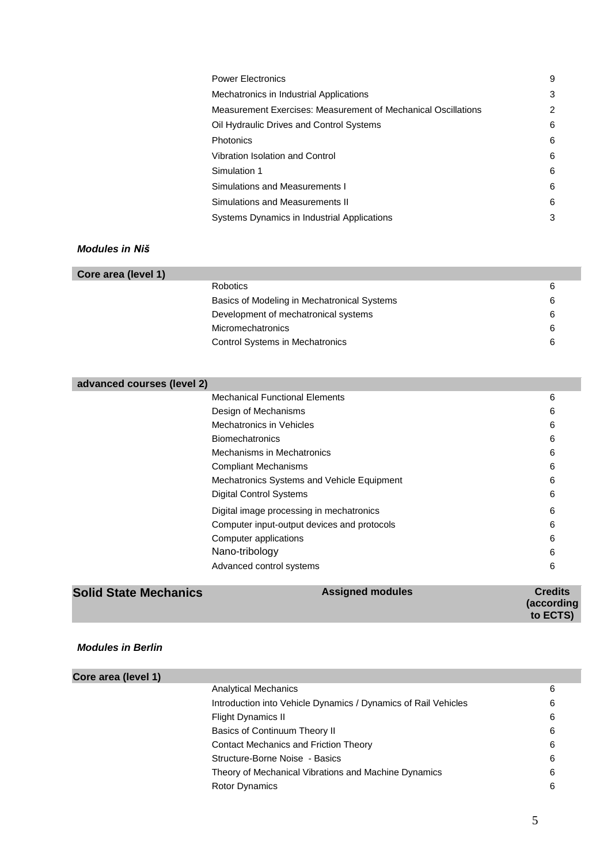| <b>Power Electronics</b>                                      | 9 |
|---------------------------------------------------------------|---|
| Mechatronics in Industrial Applications                       | 3 |
| Measurement Exercises: Measurement of Mechanical Oscillations | 2 |
| Oil Hydraulic Drives and Control Systems                      | 6 |
| <b>Photonics</b>                                              | 6 |
| Vibration Isolation and Control                               | 6 |
| Simulation 1                                                  | 6 |
| Simulations and Measurements I                                | 6 |
| Simulations and Measurements II                               | 6 |
| Systems Dynamics in Industrial Applications                   | 3 |
|                                                               |   |

| Core area (level 1) |                                             |   |
|---------------------|---------------------------------------------|---|
|                     | <b>Robotics</b>                             | 6 |
|                     | Basics of Modeling in Mechatronical Systems | 6 |
|                     | Development of mechatronical systems        | 6 |
|                     | <b>Micromechatronics</b>                    | 6 |
|                     | <b>Control Systems in Mechatronics</b>      | 6 |
|                     |                                             |   |

| <b>Solid State Mechanics</b> | <b>Assigned modules</b>                     | Credits |
|------------------------------|---------------------------------------------|---------|
|                              |                                             |         |
|                              | Advanced control systems                    | 6       |
|                              | Nano-tribology                              | 6       |
|                              | Computer applications                       | 6       |
|                              | Computer input-output devices and protocols | 6       |
|                              | Digital image processing in mechatronics    | 6       |
|                              | <b>Digital Control Systems</b>              | 6       |
|                              | Mechatronics Systems and Vehicle Equipment  | 6       |
|                              | <b>Compliant Mechanisms</b>                 | 6       |
|                              | Mechanisms in Mechatronics                  | 6       |
|                              | <b>Biomechatronics</b>                      | 6       |
|                              | <b>Mechatronics in Vehicles</b>             | 6       |
|                              | Design of Mechanisms                        | 6       |
|                              | <b>Mechanical Functional Elements</b>       | 6       |
| advanced courses (level 2)   |                                             |         |

| <b>Modules in Berlin</b> |  |
|--------------------------|--|
|                          |  |

| Core area (level 1) |                                                                |   |
|---------------------|----------------------------------------------------------------|---|
|                     | <b>Analytical Mechanics</b>                                    | 6 |
|                     | Introduction into Vehicle Dynamics / Dynamics of Rail Vehicles | 6 |
|                     | Flight Dynamics II                                             | 6 |
|                     | Basics of Continuum Theory II                                  | 6 |
|                     | Contact Mechanics and Friction Theory                          | 6 |
|                     | Structure-Borne Noise - Basics                                 | 6 |
|                     | Theory of Mechanical Vibrations and Machine Dynamics           | 6 |
|                     | <b>Rotor Dynamics</b>                                          | 6 |

**(according to ECTS)**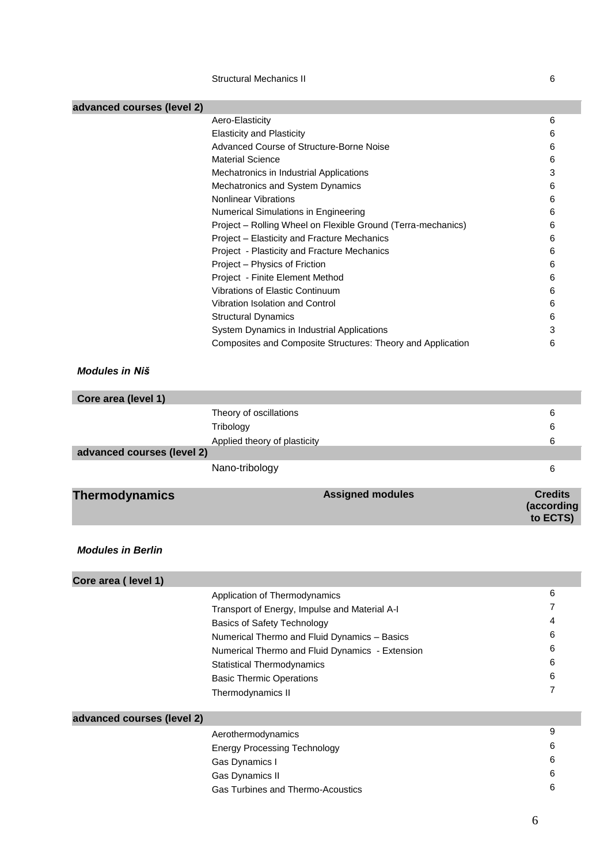Structural Mechanics II 6

| advanced courses (level 2) |                                                              |                                          |
|----------------------------|--------------------------------------------------------------|------------------------------------------|
|                            | Aero-Elasticity                                              | 6                                        |
|                            | <b>Elasticity and Plasticity</b>                             | 6                                        |
|                            | Advanced Course of Structure-Borne Noise                     | 6                                        |
|                            | <b>Material Science</b>                                      | 6                                        |
|                            | Mechatronics in Industrial Applications                      | 3                                        |
|                            | Mechatronics and System Dynamics                             | 6                                        |
|                            | <b>Nonlinear Vibrations</b>                                  | 6                                        |
|                            | Numerical Simulations in Engineering                         | 6                                        |
|                            | Project - Rolling Wheel on Flexible Ground (Terra-mechanics) | 6                                        |
|                            | Project - Elasticity and Fracture Mechanics                  | 6                                        |
|                            | Project - Plasticity and Fracture Mechanics                  | 6                                        |
|                            | Project - Physics of Friction                                | 6                                        |
|                            | Project - Finite Element Method                              | 6                                        |
|                            | Vibrations of Elastic Continuum                              | 6                                        |
|                            | Vibration Isolation and Control                              | 6                                        |
|                            | <b>Structural Dynamics</b>                                   | 6                                        |
|                            | System Dynamics in Industrial Applications                   | 3                                        |
|                            | Composites and Composite Structures: Theory and Application  | 6                                        |
| <b>Modules in Niš</b>      |                                                              |                                          |
| Core area (level 1)        |                                                              |                                          |
|                            | Theory of oscillations                                       | 6                                        |
|                            | Tribology                                                    | 6                                        |
|                            | Applied theory of plasticity                                 | 6                                        |
| advanced courses (level 2) |                                                              |                                          |
|                            | Nano-tribology                                               | 6                                        |
| <b>Thermodynamics</b>      | <b>Assigned modules</b>                                      | <b>Credits</b><br>(according<br>to ECTS) |
| <b>Modules in Berlin</b>   |                                                              |                                          |
| Core area (level 1)        |                                                              |                                          |
|                            |                                                              | 6                                        |
|                            |                                                              |                                          |
|                            | Application of Thermodynamics                                | 7                                        |
|                            | Transport of Energy, Impulse and Material A-I                | 4                                        |
|                            | <b>Basics of Safety Technology</b>                           | 6                                        |
|                            | Numerical Thermo and Fluid Dynamics - Basics                 | 6                                        |
|                            | Numerical Thermo and Fluid Dynamics - Extension              | 6                                        |
|                            | <b>Statistical Thermodynamics</b>                            | 6                                        |
|                            | <b>Basic Thermic Operations</b>                              | 7                                        |
|                            | Thermodynamics II                                            |                                          |
| advanced courses (level 2) |                                                              |                                          |
|                            | Aerothermodynamics                                           | 9                                        |
|                            | <b>Energy Processing Technology</b>                          | 6                                        |
|                            | Gas Dynamics I                                               | 6                                        |
|                            | Gas Dynamics II                                              | 6                                        |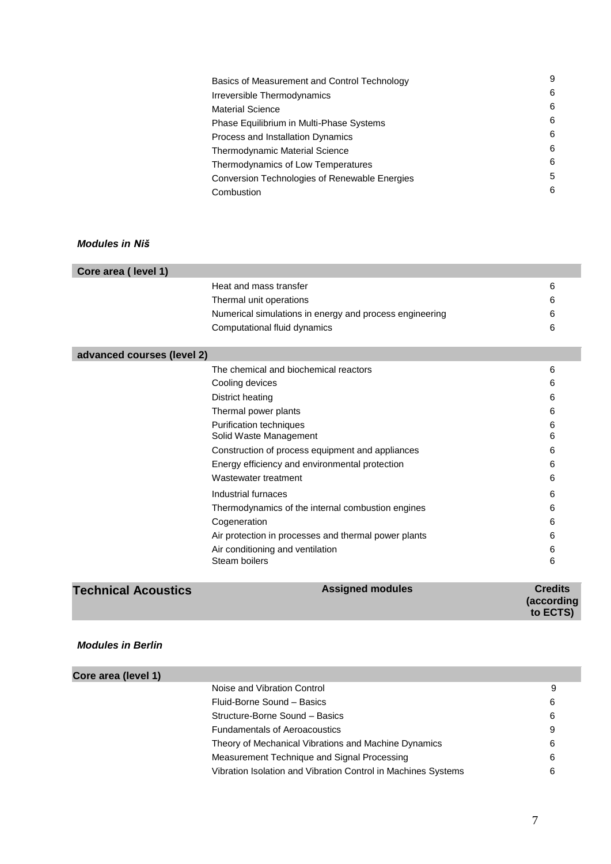| Basics of Measurement and Control Technology  | 9 |
|-----------------------------------------------|---|
| Irreversible Thermodynamics                   | 6 |
| <b>Material Science</b>                       | 6 |
| Phase Equilibrium in Multi-Phase Systems      | 6 |
| Process and Installation Dynamics             | 6 |
| <b>Thermodynamic Material Science</b>         | 6 |
| Thermodynamics of Low Temperatures            | 6 |
| Conversion Technologies of Renewable Energies | 5 |
| Combustion                                    | 6 |
|                                               |   |

| Core area (level 1)        |                                                         |   |
|----------------------------|---------------------------------------------------------|---|
|                            | Heat and mass transfer                                  | 6 |
|                            | Thermal unit operations                                 | 6 |
|                            | Numerical simulations in energy and process engineering | 6 |
|                            | Computational fluid dynamics                            | 6 |
|                            |                                                         |   |
| advanced courses (level 2) |                                                         |   |
|                            | The chemical and biochemical reactors                   | 6 |
|                            | Cooling devices                                         | 6 |
|                            | District heating                                        | 6 |
|                            | Thermal power plants                                    | 6 |
|                            | Purification techniques                                 | 6 |
|                            | Solid Waste Management                                  | 6 |
|                            | Construction of process equipment and appliances        | 6 |
|                            | Energy efficiency and environmental protection          | 6 |
|                            | Wastewater treatment                                    | 6 |
|                            | Industrial furnaces                                     | 6 |
|                            | Thermodynamics of the internal combustion engines       | 6 |
|                            | Cogeneration                                            | 6 |
|                            | Air protection in processes and thermal power plants    | 6 |
|                            | Air conditioning and ventilation                        | 6 |
|                            | Steam boilers                                           | 6 |
|                            |                                                         |   |

### *Modules in Berlin*

| Core area (level 1) |                                                               |   |
|---------------------|---------------------------------------------------------------|---|
|                     | Noise and Vibration Control                                   | 9 |
|                     | Fluid-Borne Sound - Basics                                    | 6 |
|                     | Structure-Borne Sound - Basics                                | 6 |
|                     | <b>Fundamentals of Aeroacoustics</b>                          | 9 |
|                     | Theory of Mechanical Vibrations and Machine Dynamics          | 6 |
|                     | Measurement Technique and Signal Processing                   | 6 |
|                     | Vibration Isolation and Vibration Control in Machines Systems | 6 |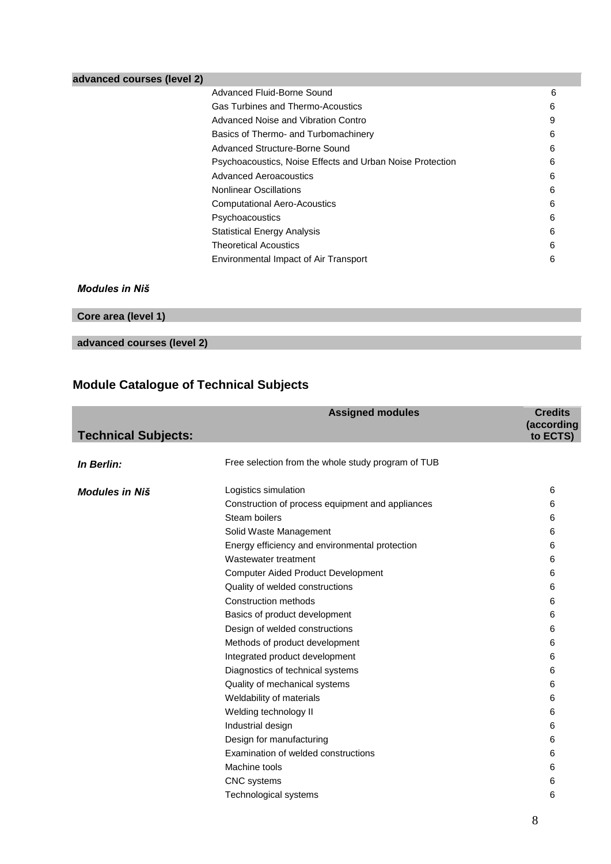| advanced courses (level 2) |                                                           |   |
|----------------------------|-----------------------------------------------------------|---|
|                            | Advanced Fluid-Borne Sound                                | 6 |
|                            | Gas Turbines and Thermo-Acoustics                         | 6 |
|                            | Advanced Noise and Vibration Contro                       | 9 |
|                            | Basics of Thermo- and Turbomachinery                      | 6 |
|                            | Advanced Structure-Borne Sound                            | 6 |
|                            | Psychoacoustics, Noise Effects and Urban Noise Protection | 6 |
|                            | <b>Advanced Aeroacoustics</b>                             | 6 |
|                            | <b>Nonlinear Oscillations</b>                             | 6 |
|                            | <b>Computational Aero-Acoustics</b>                       | 6 |
|                            | Psychoacoustics                                           | 6 |
|                            | <b>Statistical Energy Analysis</b>                        | 6 |
|                            | Theoretical Acoustics                                     | 6 |
|                            | Environmental Impact of Air Transport                     | 6 |
|                            |                                                           |   |

| Core area (level 1)        |  |  |
|----------------------------|--|--|
|                            |  |  |
| advanced courses (level 2) |  |  |

# **Module Catalogue of Technical Subjects**

|                            | <b>Assigned modules</b>                            | <b>Credits</b><br>(according |
|----------------------------|----------------------------------------------------|------------------------------|
| <b>Technical Subjects:</b> |                                                    | to ECTS)                     |
|                            |                                                    |                              |
| In Berlin:                 | Free selection from the whole study program of TUB |                              |
| <b>Modules in Niš</b>      | Logistics simulation                               | 6                            |
|                            | Construction of process equipment and appliances   | 6                            |
|                            | Steam boilers                                      | 6                            |
|                            | Solid Waste Management                             | 6                            |
|                            | Energy efficiency and environmental protection     | 6                            |
|                            | Wastewater treatment                               | 6                            |
|                            | <b>Computer Aided Product Development</b>          | 6                            |
|                            | Quality of welded constructions                    | 6                            |
|                            | Construction methods                               | 6                            |
|                            | Basics of product development                      | 6                            |
|                            | Design of welded constructions                     | 6                            |
|                            | Methods of product development                     | 6                            |
|                            | Integrated product development                     | 6                            |
|                            | Diagnostics of technical systems                   | 6                            |
|                            | Quality of mechanical systems                      | 6                            |
|                            | Weldability of materials                           | 6                            |
|                            | Welding technology II                              | 6                            |
|                            | Industrial design                                  | 6                            |
|                            | Design for manufacturing                           | 6                            |
|                            | Examination of welded constructions                | 6                            |
|                            | Machine tools                                      | 6                            |
|                            | <b>CNC</b> systems                                 | 6                            |
|                            | Technological systems                              | 6                            |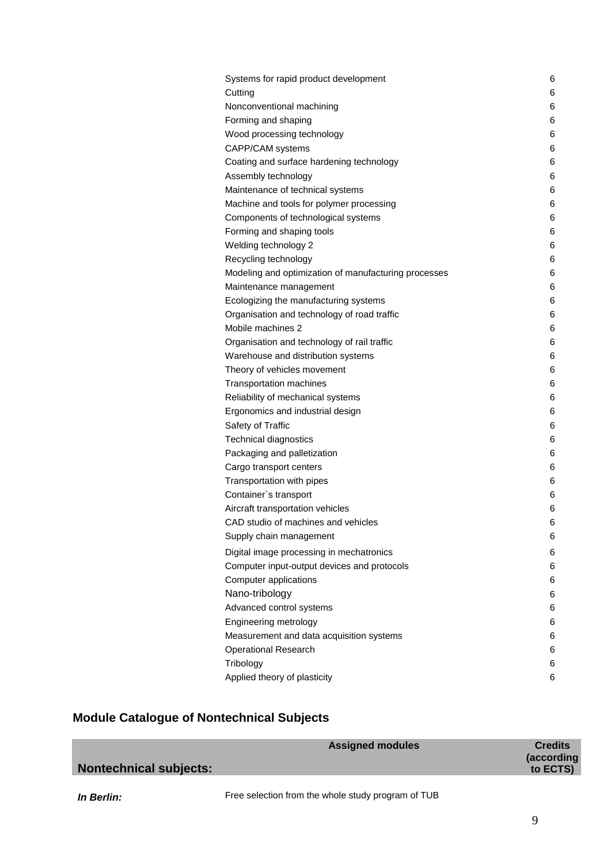| Systems for rapid product development                | 6 |
|------------------------------------------------------|---|
| Cutting                                              | 6 |
| Nonconventional machining                            | 6 |
| Forming and shaping                                  | 6 |
| Wood processing technology                           | 6 |
| CAPP/CAM systems                                     | 6 |
| Coating and surface hardening technology             | 6 |
| Assembly technology                                  | 6 |
| Maintenance of technical systems                     | 6 |
| Machine and tools for polymer processing             | 6 |
| Components of technological systems                  | 6 |
| Forming and shaping tools                            | 6 |
| Welding technology 2                                 | 6 |
| Recycling technology                                 | 6 |
| Modeling and optimization of manufacturing processes | 6 |
| Maintenance management                               | 6 |
| Ecologizing the manufacturing systems                | 6 |
| Organisation and technology of road traffic          | 6 |
| Mobile machines 2                                    | 6 |
| Organisation and technology of rail traffic          | 6 |
| Warehouse and distribution systems                   | 6 |
| Theory of vehicles movement                          | 6 |
| Transportation machines                              | 6 |
| Reliability of mechanical systems                    | 6 |
| Ergonomics and industrial design                     | 6 |
| Safety of Traffic                                    | 6 |
| Technical diagnostics                                | 6 |
| Packaging and palletization                          | 6 |
| Cargo transport centers                              | 6 |
| Transportation with pipes                            | 6 |
| Container's transport                                | 6 |
| Aircraft transportation vehicles                     | 6 |
| CAD studio of machines and vehicles                  | 6 |
| Supply chain management                              | 6 |
| Digital image processing in mechatronics             | 6 |
| Computer input-output devices and protocols          | 6 |
| Computer applications                                | 6 |
| Nano-tribology                                       | 6 |
| Advanced control systems                             | 6 |
| Engineering metrology                                | 6 |
| Measurement and data acquisition systems             | 6 |
| <b>Operational Research</b>                          | 6 |
| Tribology                                            | 6 |
| Applied theory of plasticity                         | 6 |
|                                                      |   |

# **Module Catalogue of Nontechnical Subjects**

|                               | <b>Assigned modules</b> | <b>Credits</b><br>(according |
|-------------------------------|-------------------------|------------------------------|
| <b>Nontechnical subjects:</b> |                         | to ECTS)                     |
|                               |                         |                              |